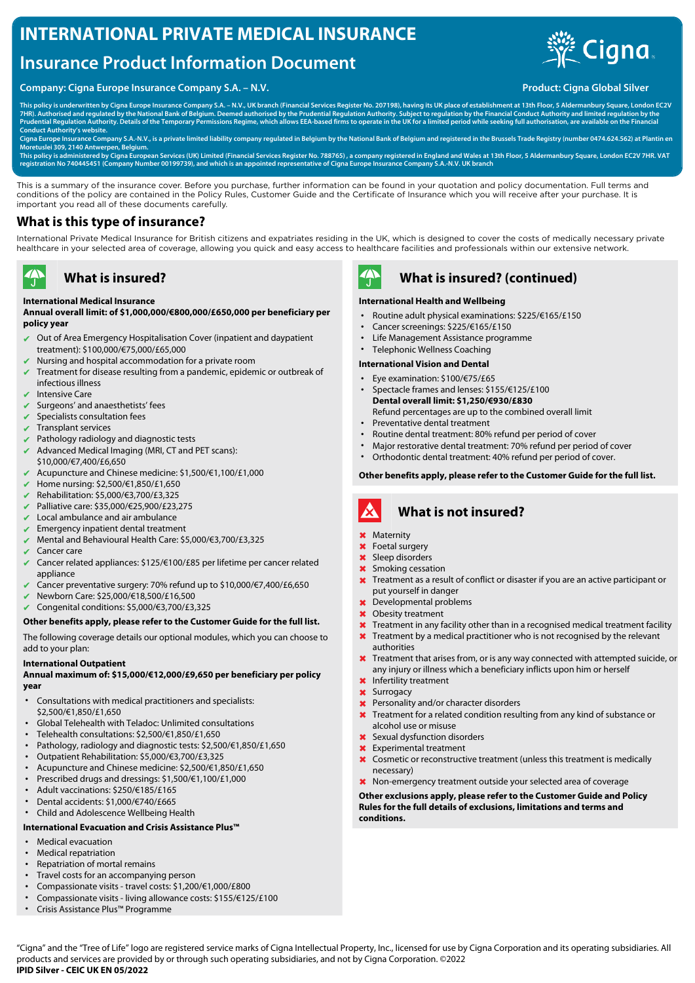# **INTERNATIONAL PRIVATE MEDICAL INSURANCE**

# **Insurance Product Information Document**

### **Company: Cigna Europe Insurance Company S.A. – N.V. Product: Cigna Global Silver** Product: Cigna Global Silver



**This policy is underwritten by Cigna Europe Insurance Company S.A. – N.V., UK branch (Financial Services Register No. 207198), having its UK place of establishment at 13th Floor, 5 Aldermanbury Square, London EC2V** 7HR). Authorised and regulated by the National Bank of Belgium. Deemed authorised by the Prudential Regulation Authority. Subject to regulation by the Financial Conduct Authority and limited regulation by the<br>Prudential Re **Conduct Authority's website.**

**Cigna Europe Insurance Company S.A.-N.V., is a private limited liability company regulated in Belgium by the National Bank of Belgium and registered in the Brussels Trade Registry (number 0474.624.562) at Plantin en Moretuslei 309, 2140 Antwerpen, Belgium.**

This policy is administered by Cigna European Services (UK) Limited (Financial Services Register No. 788765) , a company registered in England and Wales at 13th Floor, 5 Aldermanbury Square, London EC2V 7HR. VAT<br>registrati

This is a summary of the insurance cover. Before you purchase, further information can be found in your quotation and policy documentation. Full terms and conditions of the policy are contained in the Policy Rules, Customer Guide and the Certificate of Insurance which you will receive after your purchase. It is important you read all of these documents carefully.

### **What is this type of insurance?**

International Private Medical Insurance for British citizens and expatriates residing in the UK, which is designed to cover the costs of medically necessary private healthcare in your selected area of coverage, allowing you quick and easy access to healthcare facilities and professionals within our extensive network.

# **What is insured?**

#### **International Medical Insurance**

**Annual overall limit: of \$1,000,000/€800,000/£650,000 per beneficiary per policy year**

- ✔ Out of Area Emergency Hospitalisation Cover (inpatient and daypatient treatment): \$100,000/€75,000/£65,000
- Nursing and hospital accommodation for a private room
- Treatment for disease resulting from a pandemic, epidemic or outbreak of infectious illness
- Intensive Care

 $\clubsuit$ 

- Surgeons' and anaesthetists' fees
- Specialists consultation fees
- ✔ Transplant services
- Pathology radiology and diagnostic tests
- $\blacktriangleright$  Advanced Medical Imaging (MRI, CT and PET scans): \$10,000/€7,400/£6,650
- ✔ Acupuncture and Chinese medicine: \$1,500/€1,100/£1,000
- ✔ Home nursing: \$2,500/€1,850/£1,650
- ✔ Rehabilitation: \$5,000/€3,700/£3,325
- ✔ Palliative care: \$35,000/€25,900/£23,275
- Local ambulance and air ambulance
- $\blacktriangleright$  Emergency inpatient dental treatment
- ✔ Mental and Behavioural Health Care: \$5,000/€3,700/£3,325
- Cancer care
- ✔ Cancer related appliances: \$125/€100/£85 per lifetime per cancer related appliance
- Cancer preventative surgery: 70% refund up to \$10,000/€7,400/£6,650
- ✔ Newborn Care: \$25,000/€18,500/£16,500
- ✔ Congenital conditions: \$5,000/€3,700/£3,325

#### **Other benefits apply, please refer to the Customer Guide for the full list.**

The following coverage details our optional modules, which you can choose to add to your plan:

#### **International Outpatient**

#### **Annual maximum of: \$15,000/€12,000/£9,650 per beneficiary per policy year**

- Consultations with medical practitioners and specialists: \$2,500/€1,850/£1,650
- Global Telehealth with Teladoc: Unlimited consultations
- Telehealth consultations: \$2,500/€1,850/£1,650
- Pathology, radiology and diagnostic tests: \$2,500/€1,850/£1,650
- Outpatient Rehabilitation: \$5,000/€3,700/£3,325
- Acupuncture and Chinese medicine: \$2,500/€1,850/£1,650
- Prescribed drugs and dressings: \$1,500/€1,100/£1,000
- Adult vaccinations: \$250/€185/£165
- Dental accidents: \$1,000/€740/£665
- Child and Adolescence Wellbeing Health

### **International Evacuation and Crisis Assistance Plus™**

- Medical evacuation
- Medical repatriation
- Repatriation of mortal remains
- Travel costs for an accompanying person
- Compassionate visits travel costs: \$1,200/€1,000/£800<br>• Compassionate visits living allowance costs: \$155/€12
- Compassionate visits living allowance costs: \$155/€125/£100
- Crisis Assistance Plus™ Programme



### **What is insured? (continued)**

#### **International Health and Wellbeing**

- Routine adult physical examinations: \$225/€165/£150
- Cancer screenings: \$225/€165/£150
- Life Management Assistance programme
- Telephonic Wellness Coaching

# **International Vision and Dental**

- Eye examination: \$100/€75/£65
- Spectacle frames and lenses: \$155/€125/£100 **Dental overall limit: \$1,250/€930/£830** Refund percentages are up to the combined overall limit
- Preventative dental treatment
- Routine dental treatment: 80% refund per period of cover
- Major restorative dental treatment: 70% refund per period of cover
- Orthodontic dental treatment: 40% refund per period of cover.

#### **Other benefits apply, please refer to the Customer Guide for the full list.**

#### **What is not insured?** A

- ✖ Maternity
- ✖ Foetal surgery
- ✖ Sleep disorders
- ✖ Smoking cessation
- **X** Treatment as a result of conflict or disaster if you are an active participant or put yourself in danger
- ✖ Developmental problems
- ✖ Obesity treatment
- **X** Treatment in any facility other than in a recognised medical treatment facility
- **X** Treatment by a medical practitioner who is not recognised by the relevant authorities
- X Treatment that arises from, or is any way connected with attempted suicide, or any injury or illness which a beneficiary inflicts upon him or herself
- ✖ Infertility treatment
- ✖ Surrogacy
- ✖ Personality and/or character disorders
- ✖ Treatment for a related condition resulting from any kind of substance or alcohol use or misuse
- ✖ Sexual dysfunction disorders
- ✖ Experimental treatment
- ✖ Cosmetic or reconstructive treatment (unless this treatment is medically necessary)
- ✖ Non-emergency treatment outside your selected area of coverage

**Other exclusions apply, please refer to the Customer Guide and Policy Rules for the full details of exclusions, limitations and terms and conditions.**

"Cigna" and the "Tree of Life" logo are registered service marks of Cigna Intellectual Property, Inc., licensed for use by Cigna Corporation and its operating subsidiaries. All products and services are provided by or through such operating subsidiaries, and not by Cigna Corporation. ©2022 **IPID Silver - CEIC UK EN 05/2022**